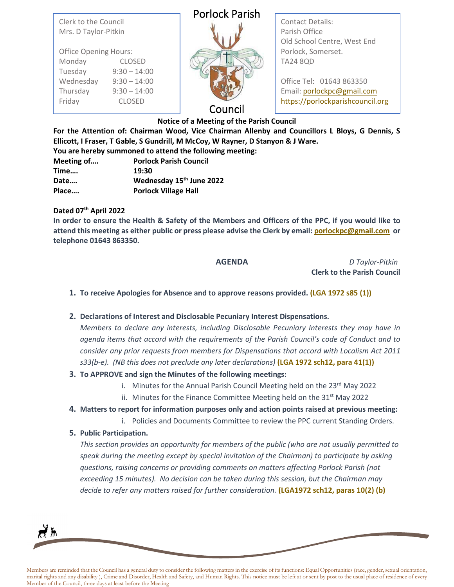Clerk to the Council Mrs. D Taylor-Pitkin

| <b>Office Opening Hours:</b> |                |
|------------------------------|----------------|
| Monday                       | <b>CLOSED</b>  |
| Tuesday                      | $9:30 - 14:00$ |
| Wednesday                    | $9:30 - 14:00$ |
| Thursday                     | $9:30 - 14:00$ |
| Friday                       | <b>CLOSED</b>  |

## Porlock Parish



Contact Details: Parish Office Old School Centre, West End Porlock, Somerset. TA24 8QD

Office Tel: 01643 863350 Email: [porlockpc@gmail.com](mailto:porlockpc@gmail.com) [https://porlockparishcouncil.org](https://porlockparishcouncil.org/)

### Council

**Notice of a Meeting of the Parish Council**

**For the Attention of: Chairman Wood, Vice Chairman Allenby and Councillors L Bloys, G Dennis, S Ellicott, I Fraser, T Gable, S Gundrill, M McCoy, W Rayner, D Stanyon & J Ware. You are hereby summoned to attend the following meeting:**

| Fou are nereby summoned to attend the following r |                                      |  |
|---------------------------------------------------|--------------------------------------|--|
| Meeting of                                        | <b>Porlock Parish Council</b>        |  |
| Time                                              | 19:30                                |  |
| Date                                              | Wednesday 15 <sup>th</sup> June 2022 |  |
| Place                                             | <b>Porlock Village Hall</b>          |  |

#### **Dated 07th April 2022**

**In order to ensure the Health & Safety of the Members and Officers of the PPC, if you would like to attend this meeting as either public or press please advise the Clerk by email[: porlockpc@gmail.com](mailto:porlockpc@gmail.com) or telephone 01643 863350.**

**AGENDA** *D Taylor-Pitkin* **Clerk to the Parish Council**

- **1. To receive Apologies for Absence and to approve reasons provided. (LGA 1972 s85 (1))**
- **2. Declarations of Interest and Disclosable Pecuniary Interest Dispensations.**

*Members to declare any interests, including Disclosable Pecuniary Interests they may have in agenda items that accord with the requirements of the Parish Council's code of Conduct and to consider any prior requests from members for Dispensations that accord with Localism Act 2011 s33(b-e). (NB this does not preclude any later declarations)* **(LGA 1972 sch12, para 41(1))**

- **3. To APPROVE and sign the Minutes of the following meetings:**
	- i. Minutes for the Annual Parish Council Meeting held on the  $23<sup>rd</sup>$  May 2022
	- ii. Minutes for the Finance Committee Meeting held on the  $31<sup>st</sup>$  May 2022
- **4. Matters to report for information purposes only and action points raised at previous meeting:**
	- i. Policies and Documents Committee to review the PPC current Standing Orders.

#### **5. Public Participation.**

*This section provides an opportunity for members of the public (who are not usually permitted to speak during the meeting except by special invitation of the Chairman) to participate by asking questions, raising concerns or providing comments on matters affecting Porlock Parish (not exceeding 15 minutes). No decision can be taken during this session, but the Chairman may decide to refer any matters raised for further consideration.* **(LGA1972 sch12, paras 10(2) (b)**

₹₩

Members are reminded that the Council has a general duty to consider the following matters in the exercise of its functions: Equal Opportunities (race, gender, sexual orientation, marital rights and any disability ), Crime and Disorder, Health and Safety, and Human Rights. This notice must be left at or sent by post to the usual place of residence of every Member of the Council, three days at least before the Meeting